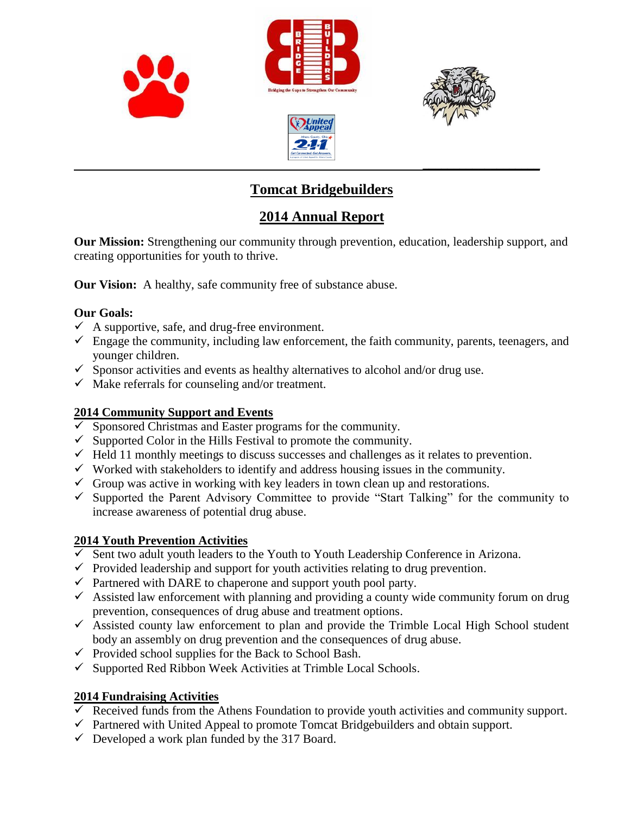

# **Tomcat Bridgebuilders**

# **2014 Annual Report**

**Our Mission:** Strengthening our community through prevention, education, leadership support, and creating opportunities for youth to thrive.

**Our Vision:** A healthy, safe community free of substance abuse.

#### **Our Goals:**

- $\checkmark$  A supportive, safe, and drug-free environment.
- $\checkmark$  Engage the community, including law enforcement, the faith community, parents, teenagers, and younger children.
- $\checkmark$  Sponsor activities and events as healthy alternatives to alcohol and/or drug use.
- $\checkmark$  Make referrals for counseling and/or treatment.

#### **2014 Community Support and Events**

- $\overline{\smash{\checkmark}}$  Sponsored Christmas and Easter programs for the community.
- $\checkmark$  Supported Color in the Hills Festival to promote the community.
- $\checkmark$  Held 11 monthly meetings to discuss successes and challenges as it relates to prevention.
- $\checkmark$  Worked with stakeholders to identify and address housing issues in the community.
- $\checkmark$  Group was active in working with key leaders in town clean up and restorations.
- $\checkmark$  Supported the Parent Advisory Committee to provide "Start Talking" for the community to increase awareness of potential drug abuse.

### **2014 Youth Prevention Activities**

- $\checkmark$  Sent two adult youth leaders to the Youth to Youth Leadership Conference in Arizona.
- $\checkmark$  Provided leadership and support for youth activities relating to drug prevention.
- $\checkmark$  Partnered with DARE to chaperone and support youth pool party.
- $\checkmark$  Assisted law enforcement with planning and providing a county wide community forum on drug prevention, consequences of drug abuse and treatment options.
- $\overrightarrow{A}$  Assisted county law enforcement to plan and provide the Trimble Local High School student body an assembly on drug prevention and the consequences of drug abuse.
- $\checkmark$  Provided school supplies for the Back to School Bash.
- $\checkmark$  Supported Red Ribbon Week Activities at Trimble Local Schools.

#### **2014 Fundraising Activities**

- $\checkmark$  Received funds from the Athens Foundation to provide youth activities and community support.
- $\checkmark$  Partnered with United Appeal to promote Tomcat Bridgebuilders and obtain support.
- $\checkmark$  Developed a work plan funded by the 317 Board.